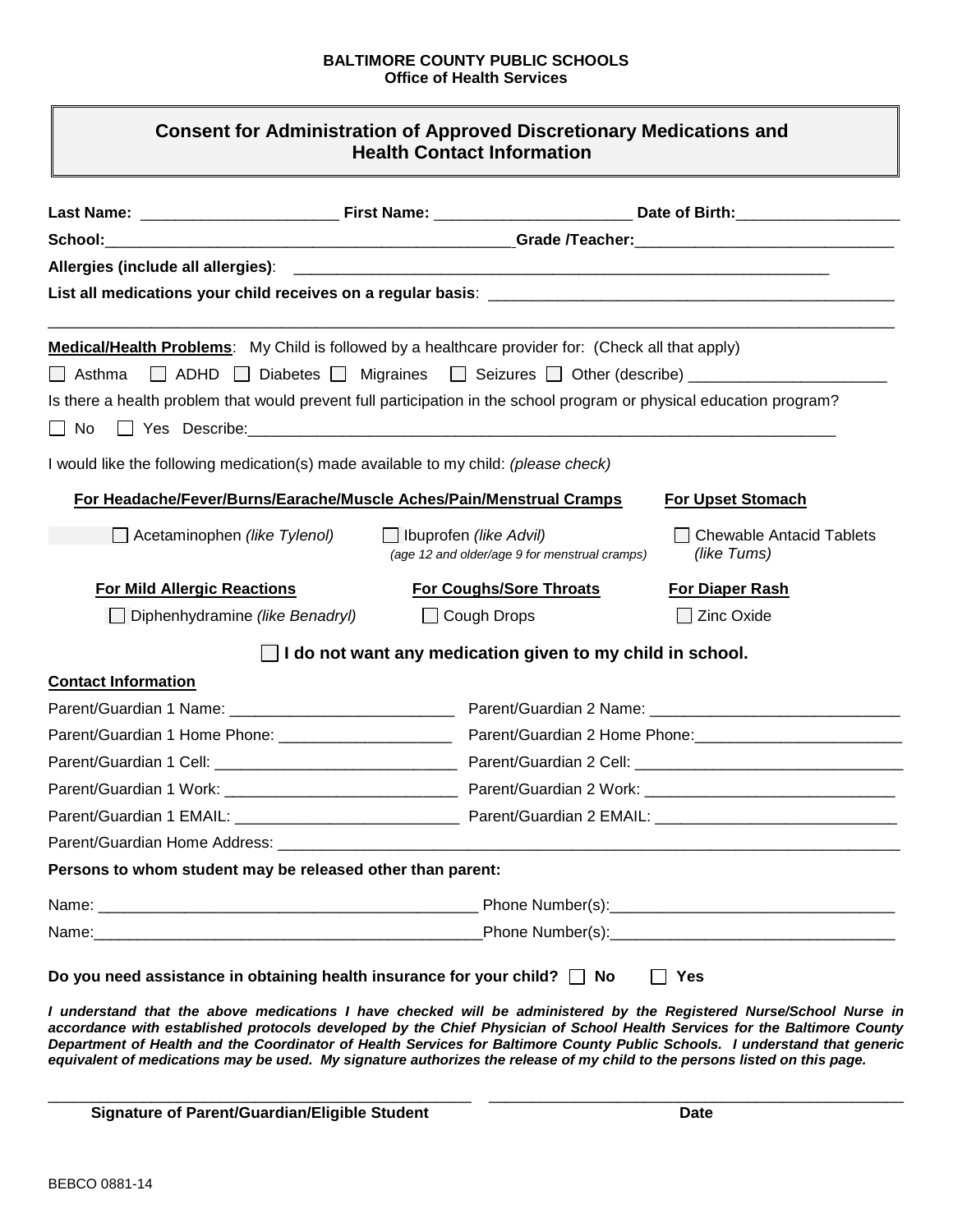## **BALTIMORE COUNTY PUBLIC SCHOOLS Office of Health Services**

| <b>Consent for Administration of Approved Discretionary Medications and</b> |
|-----------------------------------------------------------------------------|
| <b>Health Contact Information</b>                                           |

| Allergies (include all allergies):                                                                                   | <u> 1980 - Jan Alexandro Alexander de Alexandro de la contrada de la contrada de la contrada de la contrada de l</u> |                                               |                                                |  |
|----------------------------------------------------------------------------------------------------------------------|----------------------------------------------------------------------------------------------------------------------|-----------------------------------------------|------------------------------------------------|--|
|                                                                                                                      |                                                                                                                      |                                               |                                                |  |
| <b>Medical/Health Problems:</b> My Child is followed by a healthcare provider for: (Check all that apply)            |                                                                                                                      |                                               |                                                |  |
| □ Asthma □ ADHD □ Diabetes □ Migraines □ Seizures □ Other (describe) __________________                              |                                                                                                                      |                                               |                                                |  |
| Is there a health problem that would prevent full participation in the school program or physical education program? |                                                                                                                      |                                               |                                                |  |
| $\Box$ No                                                                                                            |                                                                                                                      |                                               |                                                |  |
| I would like the following medication(s) made available to my child: (please check)                                  |                                                                                                                      |                                               |                                                |  |
| For Headache/Fever/Burns/Earache/Muscle Aches/Pain/Menstrual Cramps                                                  |                                                                                                                      |                                               | <b>For Upset Stomach</b>                       |  |
| $\Box$ Acetaminophen (like Tylenol)                                                                                  | $\Box$ Ibuprofen (like Advil)                                                                                        | (age 12 and older/age 9 for menstrual cramps) | <b>Chewable Antacid Tablets</b><br>(like Tums) |  |
| <b>For Mild Allergic Reactions</b>                                                                                   |                                                                                                                      | <b>For Coughs/Sore Throats</b>                | <b>For Diaper Rash</b>                         |  |
| $\Box$ Diphenhydramine (like Benadryl)                                                                               | $\Box$ Cough Drops                                                                                                   |                                               | <b>Zinc Oxide</b>                              |  |
|                                                                                                                      | I do not want any medication given to my child in school.                                                            |                                               |                                                |  |
| <b>Contact Information</b>                                                                                           |                                                                                                                      |                                               |                                                |  |
|                                                                                                                      |                                                                                                                      |                                               |                                                |  |
| Parent/Guardian 1 Home Phone: _______________________                                                                |                                                                                                                      |                                               |                                                |  |
|                                                                                                                      |                                                                                                                      |                                               |                                                |  |
|                                                                                                                      |                                                                                                                      |                                               |                                                |  |
|                                                                                                                      |                                                                                                                      |                                               |                                                |  |
|                                                                                                                      |                                                                                                                      |                                               |                                                |  |
| Persons to whom student may be released other than parent:                                                           |                                                                                                                      |                                               |                                                |  |
|                                                                                                                      |                                                                                                                      |                                               |                                                |  |
|                                                                                                                      |                                                                                                                      |                                               |                                                |  |

*equivalent of medications may be used. My signature authorizes the release of my child to the persons listed on this page.*

\_\_\_\_\_\_\_\_\_\_\_\_\_\_\_\_\_\_\_\_\_\_\_\_\_\_\_\_\_\_\_\_\_\_\_\_\_\_\_\_\_\_\_\_\_\_\_\_\_ \_\_\_\_\_\_\_\_\_\_\_\_\_\_\_\_\_\_\_\_\_\_\_\_\_\_\_\_\_\_\_\_\_\_\_\_\_\_\_\_\_\_\_\_\_\_\_\_